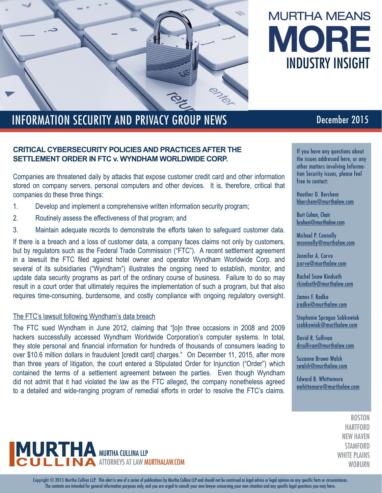

# **MURTHA MEANS** MORE INDUSTRY INSIGHT

## INFORMATION SECURITY AND PRIVACY GROUP NEWS December 2015

#### **CRITICAL CYBERSECURITY POLICIES AND PRACTICES AFTER THE SETTLEMENT ORDER IN FTC v. WYNDHAM WORLDWIDE CORP.**

Companies are threatened daily by attacks that expose customer credit card and other information stored on company servers, personal computers and other devices. It is, therefore, critical that companies do these three things:

- 1. Develop and implement a comprehensive written information security program;
- 2. Routinely assess the effectiveness of that program; and
- 3. Maintain adequate records to demonstrate the efforts taken to safeguard customer data.

If there is a breach and a loss of customer data, a company faces claims not only by customers, but by regulators such as the Federal Trade Commission ("FTC"). A recent settlement agreement in a lawsuit the FTC filed against hotel owner and operator Wyndham Worldwide Corp. and several of its subsidiaries ("Wyndham") illustrates the ongoing need to establish, monitor, and update data security programs as part of the ordinary course of business. Failure to do so may result in a court order that ultimately requires the implementation of such a program, but that also requires time-consuming, burdensome, and costly compliance with ongoing regulatory oversight.

#### The FTC's lawsuit following Wyndham's data breach

The FTC sued Wyndham in June 2012, claiming that "[o]n three occasions in 2008 and 2009 hackers successfully accessed Wyndham Worldwide Corporation's computer systems. In total, they stole personal and financial information for hundreds of thousands of consumers leading to over \$10.6 million dollars in fraudulent [credit card] charges." On December 11, 2015, after more than three years of litigation, the court entered a Stipulated Order for Injunction ("Order") which contained the terms of a settlement agreement between the parties. Even though Wyndham did not admit that it had violated the law as the FTC alleged, the company nonetheless agreed to a detailed and wide-ranging program of remedial efforts in order to resolve the FTC's claims.

If you have any questions about the issues addressed here, or any other matters involving Information Security issues, please feel free to contact:

Heather O. Berchem hberchem@murthalaw.com

Burt Cohen, Chair bcohen@murthalaw.com

Michael P. Connolly mconnolly@murthalaw.com

Jennifer A. Corvo jcorvo@murthalaw.com

Rachel Snow Kindseth rkindseth@murthalaw.com

James F. Radke jradke@murthalaw.com

Stephanie Sprague Sobkowiak ssobkowiak@murthalaw.com

David R. Sullivan drsullivan@murthalaw.com

Suzanne Brown Walsh swalsh@murthalaw.com

Edward B. Whittemore ewhittemore@murthalaw.com

> **BOSTON HARTFORD** NEW HAVEN **STAMFORD** WHITE PLAINS **WOBURN**



Copyright © 2015 Murtha Cullina LLP. This alert is one of a series of publications by Murtha Cullina LLP and should not be construed as legal advice or legal opinion on any specific facts or circumstances. The contents are intended for general information purposes only, and you are urged to consult your own lawyer concerning your own situation and any specific legal questions you may have.